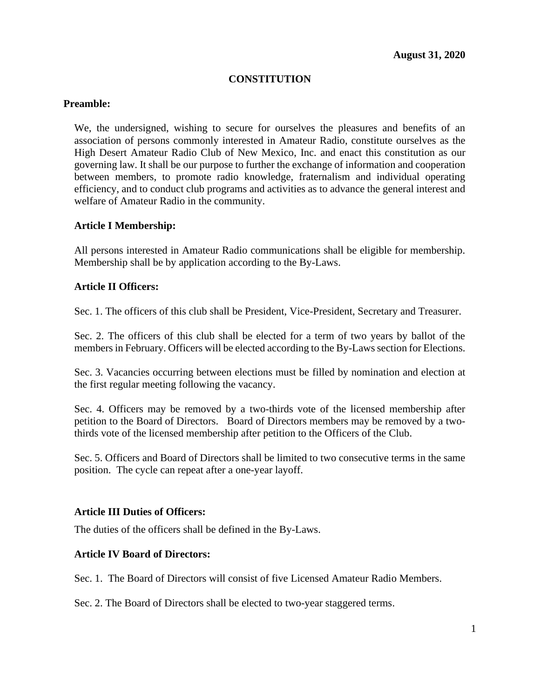## **CONSTITUTION**

### **Preamble:**

We, the undersigned, wishing to secure for ourselves the pleasures and benefits of an association of persons commonly interested in Amateur Radio, constitute ourselves as the High Desert Amateur Radio Club of New Mexico, Inc. and enact this constitution as our governing law. It shall be our purpose to further the exchange of information and cooperation between members, to promote radio knowledge, fraternalism and individual operating efficiency, and to conduct club programs and activities as to advance the general interest and welfare of Amateur Radio in the community.

#### **Article I Membership:**

All persons interested in Amateur Radio communications shall be eligible for membership. Membership shall be by application according to the By-Laws.

#### **Article II Officers:**

Sec. 1. The officers of this club shall be President, Vice-President, Secretary and Treasurer.

Sec. 2. The officers of this club shall be elected for a term of two years by ballot of the members in February. Officers will be elected according to the By-Laws section for Elections.

Sec. 3. Vacancies occurring between elections must be filled by nomination and election at the first regular meeting following the vacancy.

Sec. 4. Officers may be removed by a two-thirds vote of the licensed membership after petition to the Board of Directors. Board of Directors members may be removed by a twothirds vote of the licensed membership after petition to the Officers of the Club.

Sec. 5. Officers and Board of Directors shall be limited to two consecutive terms in the same position. The cycle can repeat after a one-year layoff.

#### **Article III Duties of Officers:**

The duties of the officers shall be defined in the By-Laws.

#### **Article IV Board of Directors:**

Sec. 1. The Board of Directors will consist of five Licensed Amateur Radio Members.

Sec. 2. The Board of Directors shall be elected to two-year staggered terms.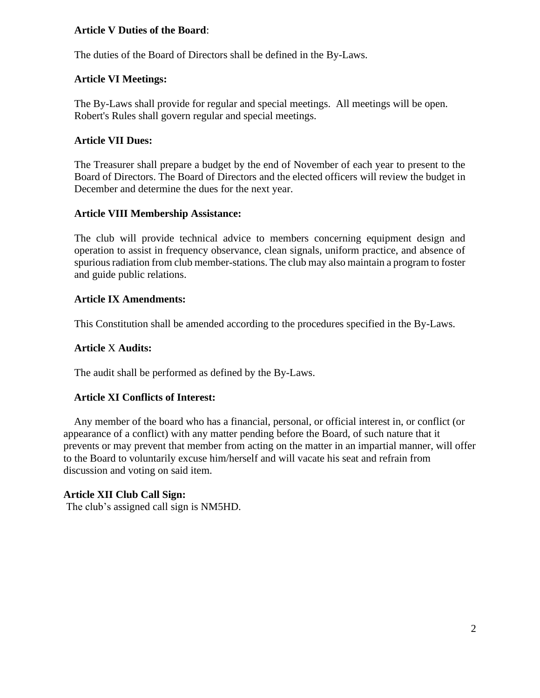### **Article V Duties of the Board**:

The duties of the Board of Directors shall be defined in the By-Laws.

# **Article VI Meetings:**

The By-Laws shall provide for regular and special meetings. All meetings will be open. Robert's Rules shall govern regular and special meetings.

# **Article VII Dues:**

The Treasurer shall prepare a budget by the end of November of each year to present to the Board of Directors. The Board of Directors and the elected officers will review the budget in December and determine the dues for the next year.

# **Article VIII Membership Assistance:**

The club will provide technical advice to members concerning equipment design and operation to assist in frequency observance, clean signals, uniform practice, and absence of spurious radiation from club member-stations. The club may also maintain a program to foster and guide public relations.

# **Article IX Amendments:**

This Constitution shall be amended according to the procedures specified in the By-Laws.

# **Article** X **Audits:**

The audit shall be performed as defined by the By-Laws.

# **Article XI Conflicts of Interest:**

 Any member of the board who has a financial, personal, or official interest in, or conflict (or appearance of a conflict) with any matter pending before the Board, of such nature that it prevents or may prevent that member from acting on the matter in an impartial manner, will offer to the Board to voluntarily excuse him/herself and will vacate his seat and refrain from discussion and voting on said item.

# **Article XII Club Call Sign:**

The club's assigned call sign is NM5HD.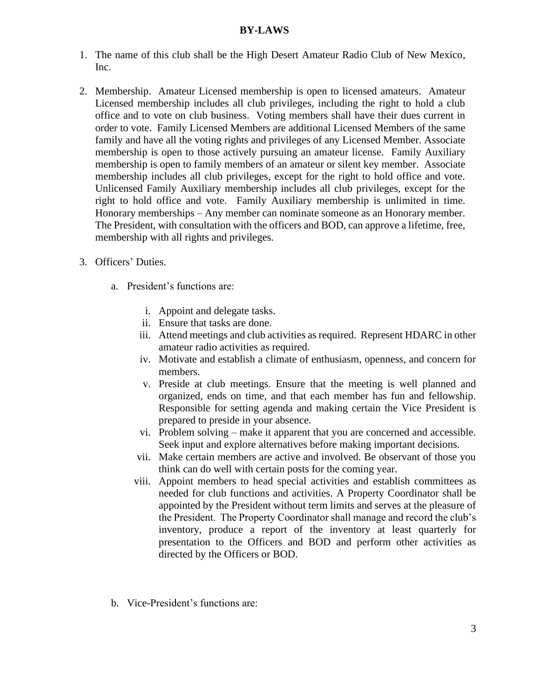#### **BY-LAWS**

- 1. The name of this club shall be the High Desert Amateur Radio Club of New Mexico, Inc.
- 2. Membership. Amateur Licensed membership is open to licensed amateurs. Amateur Licensed membership includes all club privileges, including the right to hold a club office and to vote on club business. Voting members shall have their dues current in order to vote. Family Licensed Members are additional Licensed Members of the same family and have all the voting rights and privileges of any Licensed Member. Associate membership is open to those actively pursuing an amateur license. Family Auxiliary membership is open to family members of an amateur or silent key member. Associate membership includes all club privileges, except for the right to hold office and vote. Unlicensed Family Auxiliary membership includes all club privileges, except for the right to hold office and vote. Family Auxiliary membership is unlimited in time. Honorary memberships – Any member can nominate someone as an Honorary member. The President, with consultation with the officers and BOD, can approve a lifetime, free, membership with all rights and privileges.
- 3. Officers' Duties.
	- a. President's functions are:
		- i. Appoint and delegate tasks.
		- ii. Ensure that tasks are done.
		- iii. Attend meetings and club activities as required. Represent HDARC in other amateur radio activities as required.
		- iv. Motivate and establish a climate of enthusiasm, openness, and concern for members.
		- v. Preside at club meetings. Ensure that the meeting is well planned and organized, ends on time, and that each member has fun and fellowship. Responsible for setting agenda and making certain the Vice President is prepared to preside in your absence.
		- vi. Problem solving make it apparent that you are concerned and accessible. Seek input and explore alternatives before making important decisions.
		- vii. Make certain members are active and involved. Be observant of those you think can do well with certain posts for the coming year.
		- viii. Appoint members to head special activities and establish committees as needed for club functions and activities. A Property Coordinator shall be appointed by the President without term limits and serves at the pleasure of the President. The Property Coordinator shall manage and record the club's inventory, produce a report of the inventory at least quarterly for presentation to the Officers and BOD and perform other activities as directed by the Officers or BOD.
	- b. Vice-President's functions are: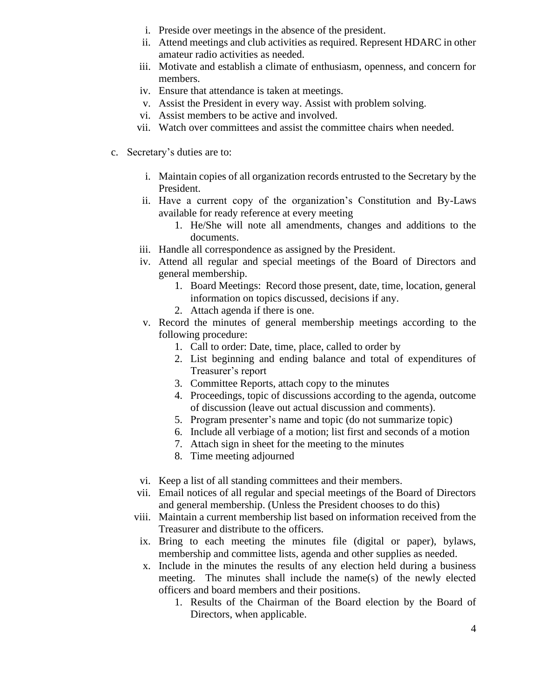- i. Preside over meetings in the absence of the president.
- ii. Attend meetings and club activities as required. Represent HDARC in other amateur radio activities as needed.
- iii. Motivate and establish a climate of enthusiasm, openness, and concern for members.
- iv. Ensure that attendance is taken at meetings.
- v. Assist the President in every way. Assist with problem solving.
- vi. Assist members to be active and involved.
- vii. Watch over committees and assist the committee chairs when needed.
- c. Secretary's duties are to:
	- i. Maintain copies of all organization records entrusted to the Secretary by the President.
	- ii. Have a current copy of the organization's Constitution and By-Laws available for ready reference at every meeting
		- 1. He/She will note all amendments, changes and additions to the documents.
	- iii. Handle all correspondence as assigned by the President.
	- iv. Attend all regular and special meetings of the Board of Directors and general membership.
		- 1. Board Meetings: Record those present, date, time, location, general information on topics discussed, decisions if any.
		- 2. Attach agenda if there is one.
	- v. Record the minutes of general membership meetings according to the following procedure:
		- 1. Call to order: Date, time, place, called to order by
		- 2. List beginning and ending balance and total of expenditures of Treasurer's report
		- 3. Committee Reports, attach copy to the minutes
		- 4. Proceedings, topic of discussions according to the agenda, outcome of discussion (leave out actual discussion and comments).
		- 5. Program presenter's name and topic (do not summarize topic)
		- 6. Include all verbiage of a motion; list first and seconds of a motion
		- 7. Attach sign in sheet for the meeting to the minutes
		- 8. Time meeting adjourned
	- vi. Keep a list of all standing committees and their members.
	- vii. Email notices of all regular and special meetings of the Board of Directors and general membership. (Unless the President chooses to do this)
	- viii. Maintain a current membership list based on information received from the Treasurer and distribute to the officers.
	- ix. Bring to each meeting the minutes file (digital or paper), bylaws, membership and committee lists, agenda and other supplies as needed.
	- x. Include in the minutes the results of any election held during a business meeting. The minutes shall include the name(s) of the newly elected officers and board members and their positions.
		- 1. Results of the Chairman of the Board election by the Board of Directors, when applicable.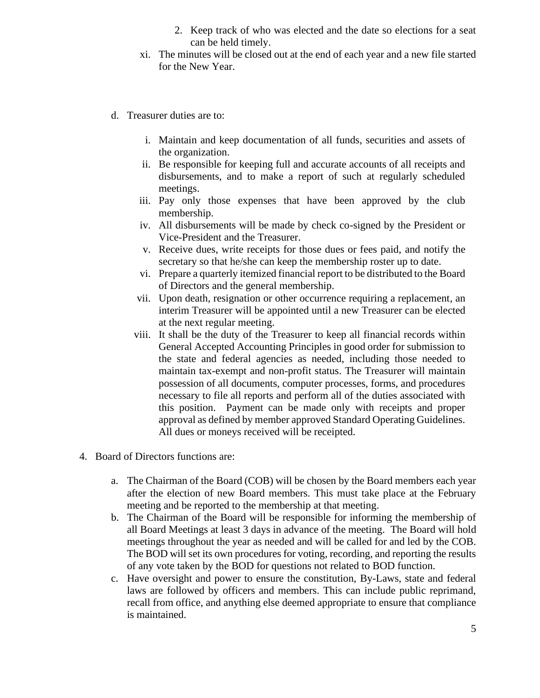- 2. Keep track of who was elected and the date so elections for a seat can be held timely.
- xi. The minutes will be closed out at the end of each year and a new file started for the New Year.
- d. Treasurer duties are to:
	- i. Maintain and keep documentation of all funds, securities and assets of the organization.
	- ii. Be responsible for keeping full and accurate accounts of all receipts and disbursements, and to make a report of such at regularly scheduled meetings.
	- iii. Pay only those expenses that have been approved by the club membership.
	- iv. All disbursements will be made by check co-signed by the President or Vice-President and the Treasurer.
	- v. Receive dues, write receipts for those dues or fees paid, and notify the secretary so that he/she can keep the membership roster up to date.
	- vi. Prepare a quarterly itemized financial report to be distributed to the Board of Directors and the general membership.
	- vii. Upon death, resignation or other occurrence requiring a replacement, an interim Treasurer will be appointed until a new Treasurer can be elected at the next regular meeting.
	- viii. It shall be the duty of the Treasurer to keep all financial records within General Accepted Accounting Principles in good order for submission to the state and federal agencies as needed, including those needed to maintain tax-exempt and non-profit status. The Treasurer will maintain possession of all documents, computer processes, forms, and procedures necessary to file all reports and perform all of the duties associated with this position. Payment can be made only with receipts and proper approval as defined by member approved Standard Operating Guidelines. All dues or moneys received will be receipted.
- 4. Board of Directors functions are:
	- a. The Chairman of the Board (COB) will be chosen by the Board members each year after the election of new Board members. This must take place at the February meeting and be reported to the membership at that meeting.
	- b. The Chairman of the Board will be responsible for informing the membership of all Board Meetings at least 3 days in advance of the meeting. The Board will hold meetings throughout the year as needed and will be called for and led by the COB. The BOD will set its own procedures for voting, recording, and reporting the results of any vote taken by the BOD for questions not related to BOD function.
	- c. Have oversight and power to ensure the constitution, By-Laws, state and federal laws are followed by officers and members. This can include public reprimand, recall from office, and anything else deemed appropriate to ensure that compliance is maintained.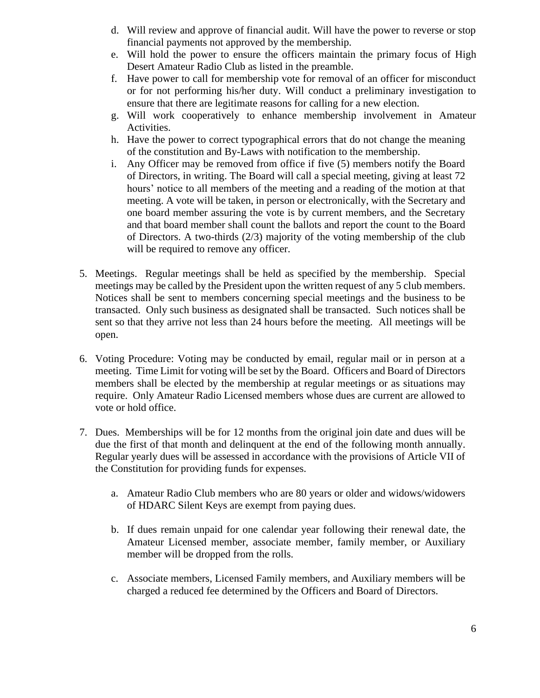- d. Will review and approve of financial audit. Will have the power to reverse or stop financial payments not approved by the membership.
- e. Will hold the power to ensure the officers maintain the primary focus of High Desert Amateur Radio Club as listed in the preamble.
- f. Have power to call for membership vote for removal of an officer for misconduct or for not performing his/her duty. Will conduct a preliminary investigation to ensure that there are legitimate reasons for calling for a new election.
- g. Will work cooperatively to enhance membership involvement in Amateur Activities.
- h. Have the power to correct typographical errors that do not change the meaning of the constitution and By-Laws with notification to the membership.
- i. Any Officer may be removed from office if five (5) members notify the Board of Directors, in writing. The Board will call a special meeting, giving at least 72 hours' notice to all members of the meeting and a reading of the motion at that meeting. A vote will be taken, in person or electronically, with the Secretary and one board member assuring the vote is by current members, and the Secretary and that board member shall count the ballots and report the count to the Board of Directors. A two-thirds  $(2/3)$  majority of the voting membership of the club will be required to remove any officer.
- 5. Meetings. Regular meetings shall be held as specified by the membership. Special meetings may be called by the President upon the written request of any 5 club members. Notices shall be sent to members concerning special meetings and the business to be transacted. Only such business as designated shall be transacted. Such notices shall be sent so that they arrive not less than 24 hours before the meeting. All meetings will be open.
- 6. Voting Procedure: Voting may be conducted by email, regular mail or in person at a meeting. Time Limit for voting will be set by the Board. Officers and Board of Directors members shall be elected by the membership at regular meetings or as situations may require. Only Amateur Radio Licensed members whose dues are current are allowed to vote or hold office.
- 7. Dues. Memberships will be for 12 months from the original join date and dues will be due the first of that month and delinquent at the end of the following month annually. Regular yearly dues will be assessed in accordance with the provisions of Article VII of the Constitution for providing funds for expenses.
	- a. Amateur Radio Club members who are 80 years or older and widows/widowers of HDARC Silent Keys are exempt from paying dues.
	- b. If dues remain unpaid for one calendar year following their renewal date, the Amateur Licensed member, associate member, family member, or Auxiliary member will be dropped from the rolls.
	- c. Associate members, Licensed Family members, and Auxiliary members will be charged a reduced fee determined by the Officers and Board of Directors.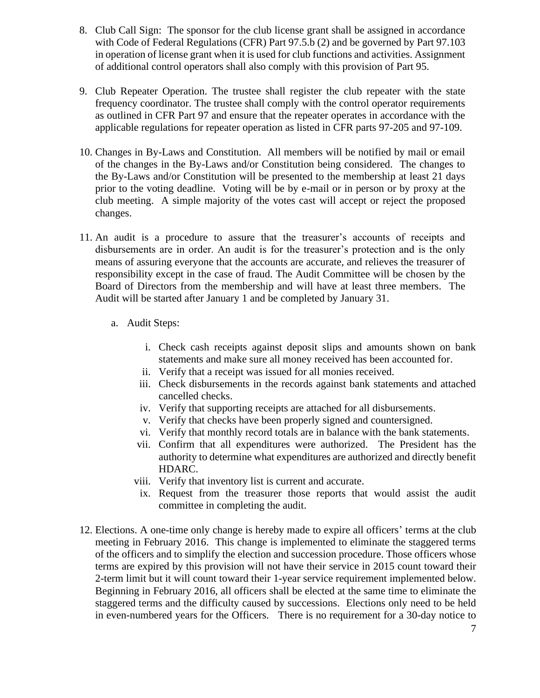- 8. Club Call Sign: The sponsor for the club license grant shall be assigned in accordance with Code of Federal Regulations (CFR) Part 97.5.b (2) and be governed by Part 97.103 in operation of license grant when it is used for club functions and activities. Assignment of additional control operators shall also comply with this provision of Part 95.
- 9. Club Repeater Operation. The trustee shall register the club repeater with the state frequency coordinator. The trustee shall comply with the control operator requirements as outlined in CFR Part 97 and ensure that the repeater operates in accordance with the applicable regulations for repeater operation as listed in CFR parts 97-205 and 97-109.
- 10. Changes in By-Laws and Constitution. All members will be notified by mail or email of the changes in the By-Laws and/or Constitution being considered. The changes to the By-Laws and/or Constitution will be presented to the membership at least 21 days prior to the voting deadline. Voting will be by e-mail or in person or by proxy at the club meeting. A simple majority of the votes cast will accept or reject the proposed changes.
- 11. An audit is a procedure to assure that the treasurer's accounts of receipts and disbursements are in order. An audit is for the treasurer's protection and is the only means of assuring everyone that the accounts are accurate, and relieves the treasurer of responsibility except in the case of fraud. The Audit Committee will be chosen by the Board of Directors from the membership and will have at least three members. The Audit will be started after January 1 and be completed by January 31.
	- a. Audit Steps:
		- i. Check cash receipts against deposit slips and amounts shown on bank statements and make sure all money received has been accounted for.
		- ii. Verify that a receipt was issued for all monies received.
		- iii. Check disbursements in the records against bank statements and attached cancelled checks.
		- iv. Verify that supporting receipts are attached for all disbursements.
		- v. Verify that checks have been properly signed and countersigned.
		- vi. Verify that monthly record totals are in balance with the bank statements.
		- vii. Confirm that all expenditures were authorized. The President has the authority to determine what expenditures are authorized and directly benefit HDARC.
		- viii. Verify that inventory list is current and accurate.
		- ix. Request from the treasurer those reports that would assist the audit committee in completing the audit.
- 12. Elections. A one-time only change is hereby made to expire all officers' terms at the club meeting in February 2016. This change is implemented to eliminate the staggered terms of the officers and to simplify the election and succession procedure. Those officers whose terms are expired by this provision will not have their service in 2015 count toward their 2-term limit but it will count toward their 1-year service requirement implemented below. Beginning in February 2016, all officers shall be elected at the same time to eliminate the staggered terms and the difficulty caused by successions. Elections only need to be held in even-numbered years for the Officers. There is no requirement for a 30-day notice to